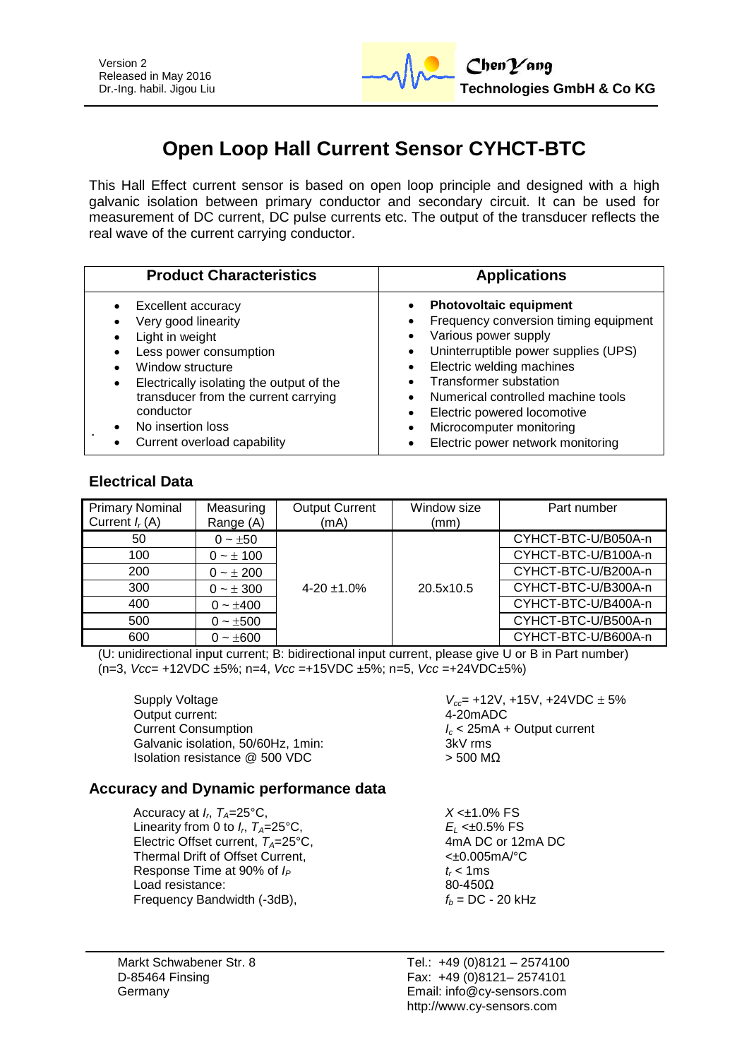

# **Open Loop Hall Current Sensor CYHCT-BTC**

This Hall Effect current sensor is based on open loop principle and designed with a high galvanic isolation between primary conductor and secondary circuit. It can be used for measurement of DC current, DC pulse currents etc. The output of the transducer reflects the real wave of the current carrying conductor.

| <b>Product Characteristics</b>           | <b>Applications</b>                   |  |
|------------------------------------------|---------------------------------------|--|
| <b>Excellent accuracy</b>                | <b>Photovoltaic equipment</b>         |  |
| Very good linearity                      | $\bullet$                             |  |
| Light in weight                          | Frequency conversion timing equipment |  |
| Less power consumption                   | Various power supply                  |  |
| Window structure                         | Uninterruptible power supplies (UPS)  |  |
| Electrically isolating the output of the | Electric welding machines             |  |
| $\bullet$                                | Transformer substation                |  |
| transducer from the current carrying     | Numerical controlled machine tools    |  |
| conductor                                | Electric powered locomotive           |  |
| No insertion loss                        | Microcomputer monitoring              |  |
| Current overload capability              | Electric power network monitoring     |  |

# **Electrical Data**

| <b>Primary Nominal</b><br>Current $I_r(A)$ | Measuring<br>Range (A) | <b>Output Current</b><br>(mA) | Window size<br>(mm) | Part number         |
|--------------------------------------------|------------------------|-------------------------------|---------------------|---------------------|
| 50                                         | $0 - \pm 50$           |                               |                     | CYHCT-BTC-U/B050A-n |
| 100                                        | $0 - \pm 100$          |                               |                     | CYHCT-BTC-U/B100A-n |
| 200                                        | $0 - \pm 200$          |                               |                     | CYHCT-BTC-U/B200A-n |
| 300                                        | $0 - \pm 300$          | $4 - 20 \pm 1.0\%$            | 20.5x10.5           | CYHCT-BTC-U/B300A-n |
| 400                                        | $0 - \pm 400$          |                               |                     | CYHCT-BTC-U/B400A-n |
| 500                                        | $0 - \pm 500$          |                               |                     | CYHCT-BTC-U/B500A-n |
| 600                                        | $0 - \pm 600$          |                               |                     | CYHCT-BTC-U/B600A-n |

(U: unidirectional input current; B: bidirectional input current, please give U or B in Part number) (n=3, *Vcc*= +12VDC ±5%; n=4, *Vcc* =+15VDC ±5%; n=5, *Vcc* =+24VDC±5%)

Supply Voltage *V<sub>cc</sub>***= +12V, +15V, +24VDC** ± 5%<br>Output current: 4-20mADC Output current: Current Consumption<br>
Galvanic isolation, 50/60Hz, 1min:<br>
Galvanic isolation, 50/60Hz, 1min:<br>
3kV rms Galvanic isolation, 50/60Hz, 1min: Isolation resistance @ 500 VDC > 500 MΩ

#### **Accuracy and Dynamic performance data**

Accuracy at  $I_r$ ,  $T_A = 25^\circ \text{C}$ , Linearity from 0 to  $I_r$ ,  $T_A = 25^\circ \text{C}$ , Electric Offset current,  $T_A = 25^\circ \text{C}$ , Thermal Drift of Offset Current,  $\leftarrow$  40.005mA/°C Response Time at 90% of  $I_P$   $t_r < 1$ ms Load resistance:  $80-450\Omega$ Frequency Bandwidth  $(-3dB)$ ,  $f_b = DC - 20 kHz$ 

 $X < \pm 1.0\%$  FS *E*<sub>L</sub> <±0.5% FS<br>4mA DC or 12mA DC

Tel.: +49 (0)8121 – 2574100 Fax: +49 (0)8121– 2574101 Email: info@cy-sensors.com http://www.cy-sensors.com

Markt Schwabener Str. 8 D-85464 Finsing Germany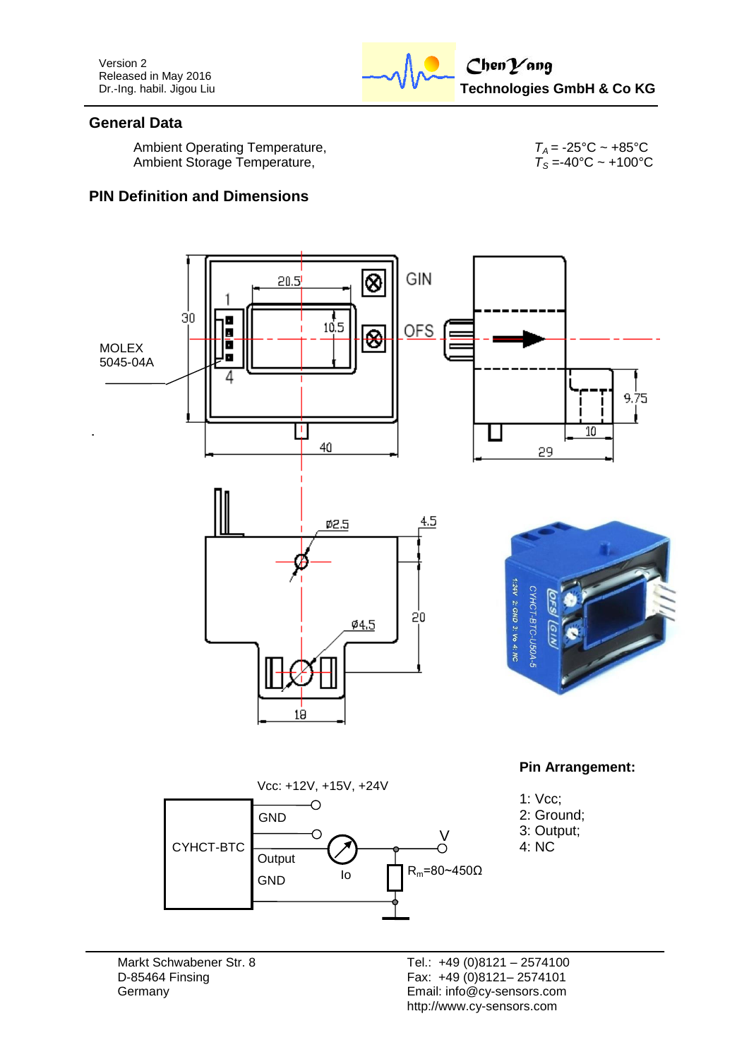Version 2 Released in May 2016 Dr.-Ing. habil. Jigou Liu



#### **General Data**

Ambient Operating Temperature,  $T_A = -25^{\circ}\text{C} \sim +85^{\circ}\text{C}$ <br>Ambient Storage Temperature,  $T_S = -40^{\circ}\text{C} \sim +100^{\circ}\text{C}$ Ambient Storage Temperature,

# **PIN Definition and Dimensions**



Markt Schwabener Str. 8 D-85464 Finsing **Germany**